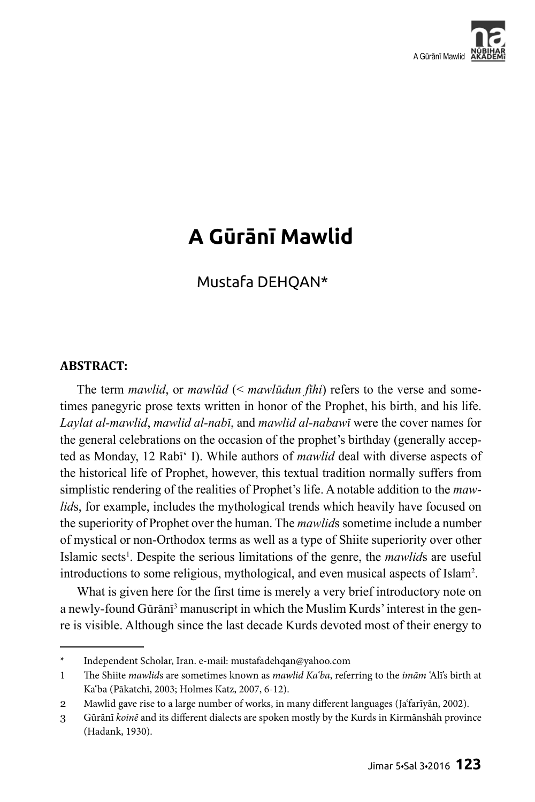

# **A Gūrānī Mawlid**

## Mustafa DEHQAN\*

#### **ABSTRACT:**

The term *mawlid*, or *mawlūd* (< *mawlūdun fīhi*) refers to the verse and sometimes panegyric prose texts written in honor of the Prophet, his birth, and his life. *Laylat al-mawlid*, *mawlid al-nabī*, and *mawlid al-nabawī* were the cover names for the general celebrations on the occasion of the prophet's birthday (generally accepted as Monday, 12 Rabī' I). While authors of *mawlid* deal with diverse aspects of the historical life of Prophet, however, this textual tradition normally suffers from simplistic rendering of the realities of Prophet's life. A notable addition to the *mawlid*s, for example, includes the mythological trends which heavily have focused on the superiority of Prophet over the human. The *mawlid*s sometime include a number of mystical or non-Orthodox terms as well as a type of Shiite superiority over other Islamic sects<sup>1</sup>. Despite the serious limitations of the genre, the *mawlids* are useful introductions to some religious, mythological, and even musical aspects of Islam2 .

What is given here for the first time is merely a very brief introductory note on a newly-found Gūrānī <sup>3</sup> manuscript in which the Muslim Kurds' interest in the genre is visible. Although since the last decade Kurds devoted most of their energy to

<sup>\*</sup> Independent Scholar, Iran. e-mail: mustafadehqan@yahoo.com

<sup>1</sup> The Shiite *mawlid*s are sometimes known as *mawlid Ka'ba*, referring to the *imām* 'Alī's birth at Ka'ba (Pākatchī, 2003; Holmes Katz, 2007, 6-12).

<sup>2</sup> Mawlid gave rise to a large number of works, in many different languages (Ja'farīyān, 2002).

<sup>3</sup> Gūrānī *koinē* and its different dialects are spoken mostly by the Kurds in Kirmānshāh province (Hadank, 1930).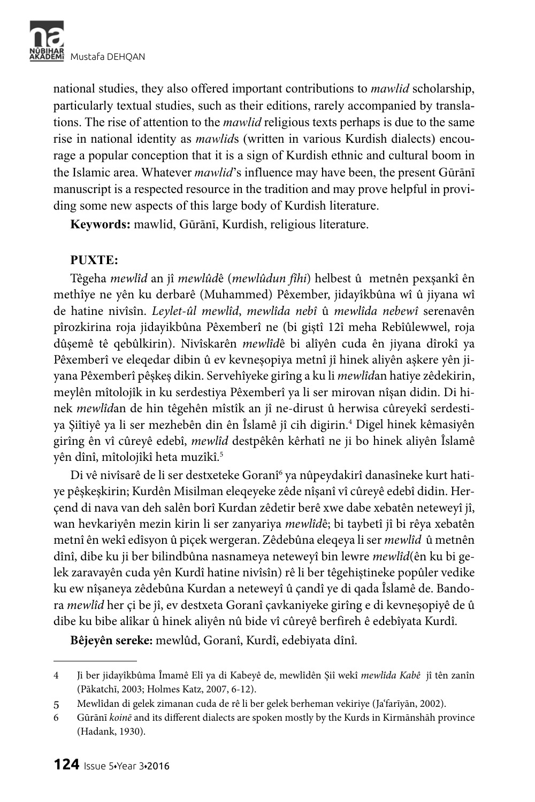

national studies, they also offered important contributions to *mawlid* scholarship, particularly textual studies, such as their editions, rarely accompanied by translations. The rise of attention to the *mawlid* religious texts perhaps is due to the same rise in national identity as *mawlid*s (written in various Kurdish dialects) encourage a popular conception that it is a sign of Kurdish ethnic and cultural boom in the Islamic area. Whatever *mawlid*'s influence may have been, the present Gūrānī manuscript is a respected resource in the tradition and may prove helpful in providing some new aspects of this large body of Kurdish literature.

**Keywords:** mawlid, Gūrānī, Kurdish, religious literature.

#### **PUXTE:**

Têgeha *mewlîd* an jî *mewlûd*ê (*mewlûdun fîhi*) helbest û metnên pexşankî ên methîye ne yên ku derbarê (Muhammed) Pêxember, jidayîkbûna wî û jiyana wî de hatine nivîsîn. *Leylet-ûl mewlîd*, *mewlîda nebî* û *mewlîda nebewî* serenavên pîrozkirina roja jidayikbûna Pêxemberî ne (bi giştî 12î meha Rebîûlewwel, roja dûşemê tê qebûlkirin). Nivîskarên *mewlîd*ê bi alîyên cuda ên jiyana dîrokî ya Pêxemberî ve eleqedar dibin û ev kevneşopiya metnî jî hinek aliyên aşkere yên jiyana Pêxemberî pêşkeş dikin. Servehîyeke girîng a ku li *mewlîd*an hatiye zêdekirin, meylên mîtolojîk in ku serdestiya Pêxemberî ya li ser mirovan nîşan didin. Di hinek *mewlîd*an de hin têgehên mîstîk an jî ne-dirust û herwisa cûreyekî serdestiya Şiîtiyê ya li ser mezhebên din ên Îslamê jî cih digirin.4 Digel hinek kêmasiyên girîng ên vî cûreyê edebî, *mewlîd* destpêkên kêrhatî ne ji bo hinek aliyên Îslamê yên dînî, mîtolojîkî heta muzîkî.<sup>5</sup>

Di vê nivîsarê de li ser destxeteke Goranî<sup>6</sup> ya nûpeydakirî danasîneke kurt hatiye pêşkeşkirin; Kurdên Misilman eleqeyeke zêde nîşanî vî cûreyê edebî didin. Herçend di nava van deh salên borî Kurdan zêdetir berê xwe dabe xebatên neteweyî jî, wan hevkariyên mezin kirin li ser zanyariya *mewlîd*ê; bi taybetî jî bi rêya xebatên metnî ên wekî edîsyon û piçek wergeran. Zêdebûna eleqeya li ser *mewlîd* û metnên dînî, dibe ku ji ber bilindbûna nasnameya neteweyî bin lewre *mewlîd*(ên ku bi gelek zaravayên cuda yên Kurdî hatine nivîsîn) rê li ber têgehiştineke popûler vedike ku ew nîşaneya zêdebûna Kurdan a neteweyî û çandî ye di qada Îslamê de. Bandora *mewlîd* her çi be jî, ev destxeta Goranî çavkaniyeke girîng e di kevneşopiyê de û dibe ku bibe alîkar û hinek aliyên nû bide vî cûreyê berfireh ê edebîyata Kurdî.

**Bêjeyên sereke:** mewlûd, Goranî, Kurdî, edebiyata dînî.

<sup>4</sup> Ji ber jidayîkbûma Îmamê Elî ya di Kabeyê de, mewlîdên Şiî wekî *mewlîda Kabê* jî tên zanîn (Pākatchī, 2003; Holmes Katz, 2007, 6-12).

<sup>5</sup> Mewlîdan di gelek zimanan cuda de rê li ber gelek berheman vekiriye (Ja'farīyān, 2002).

<sup>6</sup> Gūrānī *koinē* and its different dialects are spoken mostly by the Kurds in Kirmānshāh province (Hadank, 1930).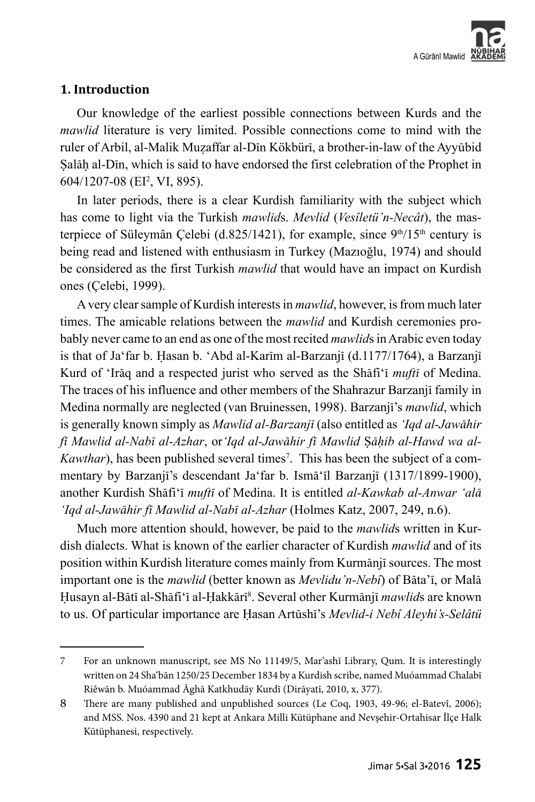

#### **1. Introduction**

Our knowledge of the earliest possible connections between Kurds and the *mawlid* literature is very limited. Possible connections come to mind with the ruler of Arbil, al-Malik Muzaffar al-Dīn Kökbürī, a brother-in-law of the Ayyūbid Salāh al-Dīn, which is said to have endorsed the first celebration of the Prophet in 604/1207-08 (EI2 , VI, 895).

In later periods, there is a clear Kurdish familiarity with the subject which has come to light via the Turkish *mawlid*s. *Mevlid* (*Vesîletü'n-Necât*), the masterpiece of Süleymân Celebi (d.825/1421), for example, since  $9<sup>th</sup>/15<sup>th</sup>$  century is being read and listened with enthusiasm in Turkey (Mazıoğlu, 1974) and should be considered as the first Turkish *mawlid* that would have an impact on Kurdish ones (Çelebi, 1999).

A very clear sample of Kurdish interests in *mawlid*, however, is from much later times. The amicable relations between the *mawlid* and Kurdish ceremonies probably never came to an end as one of the most recited *mawlid*s in Arabic even today is that of Ja'far b. Hasan b. 'Abd al-Karīm al-Barzanjī  $(d.1177/1764)$ , a Barzanjī Kurd of 'Irāq and a respected jurist who served as the Shāfi'ī *muftī* of Medina. The traces of his influence and other members of the Shahrazur Barzanjī family in Medina normally are neglected (van Bruinessen, 1998). Barzanjī's *mawlid*, which is generally known simply as *Mawlid al-Barzanjī* (also entitled as *'Iqd al-Jawāhir fī Mawlid al-Nabī al-Azhar*, or*'Iqd al-Jawāhir fī Mawlid* ä*āḥib al-Hawd wa al-*Kawthar), has been published several times<sup>7</sup>. This has been the subject of a commentary by Barzanjī's descendant Ja'far b. Ismā'īl Barzanjī (1317/1899-1900), another Kurdish Shāfi'ī *muftī* of Medina. It is entitled *al-Kawkab al-Anwar 'alā 'Iqd al-Jawāhir fī Mawlid al-Nabī al-Azhar* (Holmes Katz, 2007, 249, n.6).

Much more attention should, however, be paid to the *mawlid*s written in Kurdish dialects. What is known of the earlier character of Kurdish *mawlid* and of its position within Kurdish literature comes mainly from Kurmānjī sources. The most important one is the *mawlid* (better known as *Mevlidu'n-Nebî*) of Bāta'ī, or Malā Ḥusayn al-Bātī al-Shāfi'ī al-Ḥakkārī<sup>8</sup>. Several other Kurmānjī *mawlid*s are known to us. Of particular importance are Ḥasan Artūshī's *Mevlid-i Nebî Aleyhi's-Selâtü* 

<sup>7</sup> For an unknown manuscript, see MS No 11149/5, Mar'ashī Library, Qum. It is interestingly written on 24 Sha'bān 1250/25 December 1834 by a Kurdish scribe, named Muóammad Chalabī Riêwān b. Muóammad Āghā Katkhudāy Kurdī (Dirāyatī, 2010, x, 377).

<sup>8</sup> There are many published and unpublished sources (Le Coq, 1903, 49-96; el-Batevî, 2006); and MSS. Nos. 4390 and 21 kept at Ankara Milli Kütüphane and Nevşehir-Ortahisar İlçe Halk Kütüphanesi, respectively.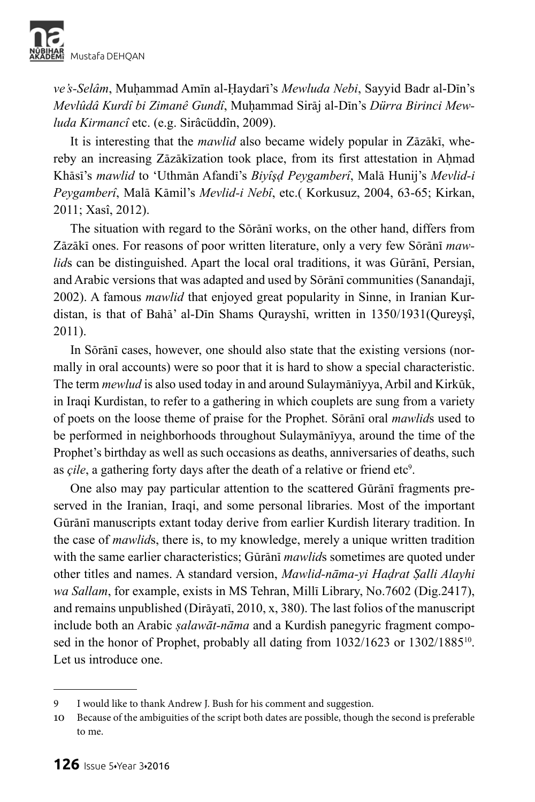

*ve's-Selâm*, Muóammad Amīn al-Ḥaydarī's *Mewluda Nebi*, Sayyid Badr al-Dīn's *Mevlûdâ Kurdî bi Zimanê Gundî*, Muóammad Sirāj al-Dīn's *Dürra Birinci Mewluda Kirmancî* etc. (e.g. Sirâcüddîn, 2009).

It is interesting that the *mawlid* also became widely popular in Zāzākī, whereby an increasing Zāzākīzation took place, from its first attestation in Ahmad Khāsī's *mawlid* to 'Uthmān Afandī's *Biyîşḍ Peygamberî*, Malā Hunij's *Mevlid-i Peygamberî*, Malā Kāmil's *Mevlid-i Nebî*, etc.( Korkusuz, 2004, 63-65; Kirkan, 2011; Xasî, 2012).

The situation with regard to the Sōrānī works, on the other hand, differs from Zāzākī ones. For reasons of poor written literature, only a very few Sōrānī *mawlid*s can be distinguished. Apart the local oral traditions, it was Gūrānī, Persian, and Arabic versions that was adapted and used by Sōrānī communities (Sanandajī, 2002). A famous *mawlid* that enjoyed great popularity in Sinne, in Iranian Kurdistan, is that of Bahā' al-Dīn Shams Qurayshī, written in 1350/1931(Qureyşî, 2011).

In Sōrānī cases, however, one should also state that the existing versions (normally in oral accounts) were so poor that it is hard to show a special characteristic. The term *mewlud* is also used today in and around Sulaymānīyya, Arbil and Kirkūk, in Iraqi Kurdistan, to refer to a gathering in which couplets are sung from a variety of poets on the loose theme of praise for the Prophet. Sōrānī oral *mawlid*s used to be performed in neighborhoods throughout Sulaymānīyya, around the time of the Prophet's birthday as well as such occasions as deaths, anniversaries of deaths, such as *çile*, a gathering forty days after the death of a relative or friend etc<sup>9</sup>.

One also may pay particular attention to the scattered Gūrānī fragments preserved in the Iranian, Iraqi, and some personal libraries. Most of the important Gūrānī manuscripts extant today derive from earlier Kurdish literary tradition. In the case of *mawlid*s, there is, to my knowledge, merely a unique written tradition with the same earlier characteristics; Gūrānī *mawlid*s sometimes are quoted under other titles and names. A standard version, *Mawlid-nāma-yi Haḍrat Ṣalli Alayhi wa Sallam*, for example, exists in MS Tehran, Millī Library, No.7602 (Dig.2417), and remains unpublished (Dirāyatī, 2010, x, 380). The last folios of the manuscript include both an Arabic *ṣalawāt-nāma* and a Kurdish panegyric fragment composed in the honor of Prophet, probably all dating from  $1032/1623$  or  $1302/1885^{10}$ . Let us introduce one.

<sup>9</sup> I would like to thank Andrew J. Bush for his comment and suggestion.

<sup>10</sup> Because of the ambiguities of the script both dates are possible, though the second is preferable to me.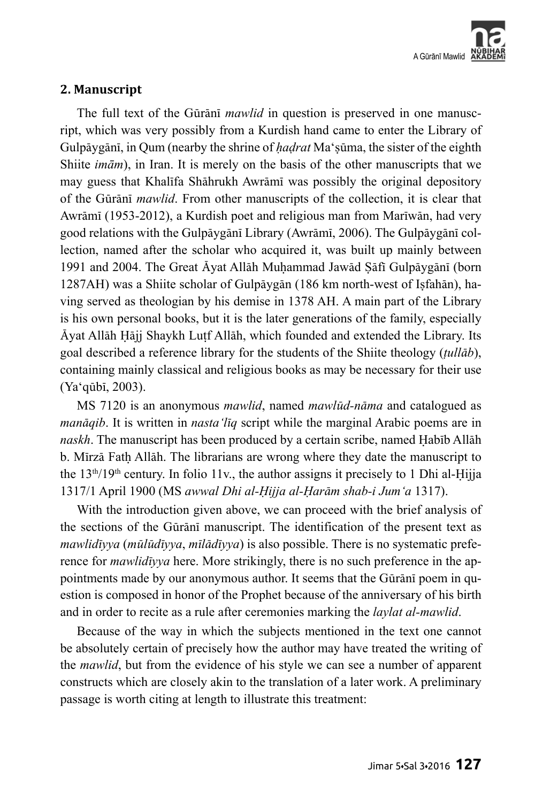

#### **2. Manuscript**

The full text of the Gūrānī *mawlid* in question is preserved in one manuscript, which was very possibly from a Kurdish hand came to enter the Library of Gulpāygānī, in Qum (nearby the shrine of *hadrat* Ma'sūma, the sister of the eighth Shiite *imām*), in Iran. It is merely on the basis of the other manuscripts that we may guess that Khalīfa Shāhrukh Awrāmī was possibly the original depository of the Gūrānī *mawlid*. From other manuscripts of the collection, it is clear that Awrāmī (1953-2012), a Kurdish poet and religious man from Marīwān, had very good relations with the Gulpāygānī Library (Awrāmī, 2006). The Gulpāygānī collection, named after the scholar who acquired it, was built up mainly between 1991 and 2004. The Great Āyat Allāh Muhammad Jawād Sāfī Gulpāygānī (born 1287AH) was a Shiite scholar of Gulpāygān (186 km north-west of Isfahān), having served as theologian by his demise in 1378 AH. A main part of the Library is his own personal books, but it is the later generations of the family, especially Åyat Allāh Hāji Shaykh Lutf Allāh, which founded and extended the Library. Its goal described a reference library for the students of the Shiite theology (*ṭullāb*), containing mainly classical and religious books as may be necessary for their use (Ya'qūbī, 2003).

MS 7120 is an anonymous *mawlid*, named *mawlūd-nāma* and catalogued as *manāqib*. It is written in *nasta'līq* script while the marginal Arabic poems are in *naskh*. The manuscript has been produced by a certain scribe, named Habīb Allāh b. Mīrzā Fath Allāh. The librarians are wrong where they date the manuscript to the  $13<sup>th</sup>/19<sup>th</sup>$  century. In folio 11v., the author assigns it precisely to 1 Dhi al-Hijja 1317/1 April 1900 (MS *awwal Dhi al-Ḥijja al-Ḥarām shab-i Jum'a* 1317).

With the introduction given above, we can proceed with the brief analysis of the sections of the Gūrānī manuscript. The identification of the present text as *mawlidīyya* (*mūlūdīyya*, *mīlādīyya*) is also possible. There is no systematic preference for *mawlidīyya* here. More strikingly, there is no such preference in the appointments made by our anonymous author. It seems that the Gūrānī poem in question is composed in honor of the Prophet because of the anniversary of his birth and in order to recite as a rule after ceremonies marking the *laylat al-mawlid*.

Because of the way in which the subjects mentioned in the text one cannot be absolutely certain of precisely how the author may have treated the writing of the *mawlid*, but from the evidence of his style we can see a number of apparent constructs which are closely akin to the translation of a later work. A preliminary passage is worth citing at length to illustrate this treatment: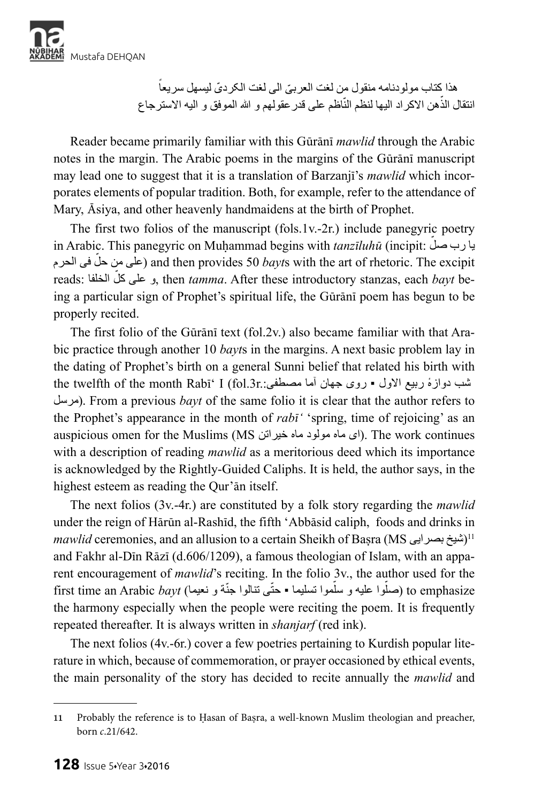

ً ّ هذا کتاب مولودنامه منقول من لغت العربی ّ الی لغت الکردی لیسهل سریعا انتقال الذّهن الاكر اد اليها لنظم النّاظم على قدر عقولهم و الله الموفق و اليه الاسترجاع

Reader became primarily familiar with this Gūrānī *mawlid* through the Arabic notes in the margin. The Arabic poems in the margins of the Gūrānī manuscript may lead one to suggest that it is a translation of Barzanjī's *mawlid* which incorporates elements of popular tradition. Both, for example, refer to the attendance of Mary, Āsiya, and other heavenly handmaidens at the birth of Prophet.

The first two folios of the manuscript (fols.1v.-2r.) include panegyric poetry in Arabic. This panegyric on Muḥammad begins with *tanzīluhū* (incipit: يا رب صلٌ ّ فی الحرم حل من علی (and then provides 50 *bayt*s with the art of rhetoric. The excipit ّ الخلفا :reads کل علی و, then *tamma*. After these introductory stanzas, each *bayt* being a particular sign of Prophet's spiritual life, the Gūrānī poem has begun to be properly recited.

The first folio of the Gūrānī text (fol.2v.) also became familiar with that Arabic practice through another 10 *bayt*s in the margins. A next basic problem lay in the dating of Prophet's birth on a general Sunni belief that related his birth with the twelfth of the month Rabī' I (fol.3r.:مثب دوازهٔ ربیع الاول • روی جهان آما مصطفی مرسل(. From a previous *bayt* of the same folio it is clear that the author refers to the Prophet's appearance in the month of *rabī'* 'spring, time of rejoicing' as an auspicious omen for the Muslims (MS ای ماه مولود ماه خیراتن). The work continues with a description of reading *mawlid* as a meritorious deed which its importance is acknowledged by the Rightly-Guided Caliphs. It is held, the author says, in the highest esteem as reading the Qur'ān itself.

The next folios (3v.-4r.) are constituted by a folk story regarding the *mawlid* under the reign of Hārūn al-Rashīd, the fifth 'Abbāsid caliph, foods and drinks in *mawlid* ceremonies, and an allusion to a certain Sheikh of Basra (MS بشيخ بصرايی)<sup>11</sup> and Fakhr al-Dīn Rāzī (d.606/1209), a famous theologian of Islam, with an apparent encouragement of *mawlid*'s reciting. In the folio 3v., the author used for the first time an Arabic *bayt (ح*لّوا علیه و سلّموا تسلیما • حتّـی تنالوا جنّة و نعیما) to emphasize the harmony especially when the people were reciting the poem. It is frequently repeated thereafter. It is always written in *shanjarf* (red ink).

The next folios (4v.-6r.) cover a few poetries pertaining to Kurdish popular literature in which, because of commemoration, or prayer occasioned by ethical events, the main personality of the story has decided to recite annually the *mawlid* and

<sup>11</sup> Probably the reference is to Hasan of Basra, a well-known Muslim theologian and preacher, born *c*.21/642.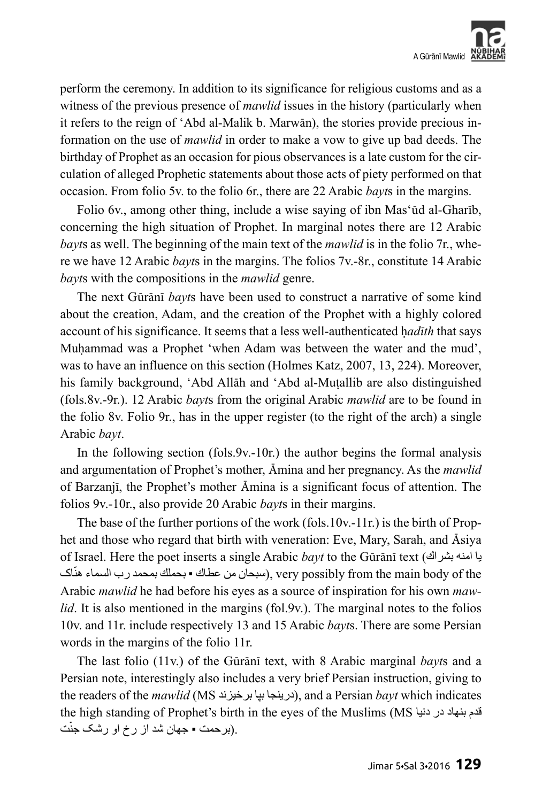

perform the ceremony. In addition to its significance for religious customs and as a witness of the previous presence of *mawlid* issues in the history (particularly when it refers to the reign of 'Abd al-Malik b. Marwān), the stories provide precious information on the use of *mawlid* in order to make a vow to give up bad deeds. The birthday of Prophet as an occasion for pious observances is a late custom for the circulation of alleged Prophetic statements about those acts of piety performed on that occasion. From folio 5v. to the folio 6r., there are 22 Arabic *bayt*s in the margins.

Folio 6v., among other thing, include a wise saying of ibn Mas'ūd al-Gharīb, concerning the high situation of Prophet. In marginal notes there are 12 Arabic *bayt*s as well. The beginning of the main text of the *mawlid* is in the folio 7r., where we have 12 Arabic *bayt*s in the margins. The folios 7v.-8r., constitute 14 Arabic *bayt*s with the compositions in the *mawlid* genre.

The next Gūrānī *bayt*s have been used to construct a narrative of some kind about the creation, Adam, and the creation of the Prophet with a highly colored account of his significance. It seems that a less well-authenticated had*ith* that says Muhammad was a Prophet 'when Adam was between the water and the mud', was to have an influence on this section (Holmes Katz, 2007, 13, 224). Moreover, his family background, 'Abd Allāh and 'Abd al-Mutallib are also distinguished (fols.8v.-9r.). 12 Arabic *bayt*s from the original Arabic *mawlid* are to be found in the folio 8v. Folio 9r., has in the upper register (to the right of the arch) a single Arabic *bayt*.

In the following section (fols.9v.-10r.) the author begins the formal analysis and argumentation of Prophet's mother, Āmina and her pregnancy. As the *mawlid* of Barzanjī, the Prophet's mother Āmina is a significant focus of attention. The folios 9v.-10r., also provide 20 Arabic *bayt*s in their margins.

The base of the further portions of the work (fols.10v.-11r.) is the birth of Prophet and those who regard that birth with veneration: Eve, Mary, Sarah, and Āsiya of Israel. Here the poet inserts a single Arabic *bayt* to the Gūrānī text (بشراك امنه یا سبحان من عطاك ▪ بحملك بمحمد رب السماء هنّاك), very possibly from the main body of the Arabic *mawlid* he had before his eyes as a source of inspiration for his own *mawlid*. It is also mentioned in the margins (fol.9v.). The marginal notes to the folios 10v. and 11r. include respectively 13 and 15 Arabic *bayt*s. There are some Persian words in the margins of the folio 11r.

The last folio (11v.) of the Gūrānī text, with 8 Arabic marginal *bayt*s and a Persian note, interestingly also includes a very brief Persian instruction, giving to the readers of the *mawlid* (MS برخیزند بپا درینجا(, and a Persian *bayt* which indicates the high standing of Prophet's birth in the eyes of the Muslims (MS دنیا در بنهاد قدم ّت .(برحمت ▪ جهان شد از رخ او رشک جن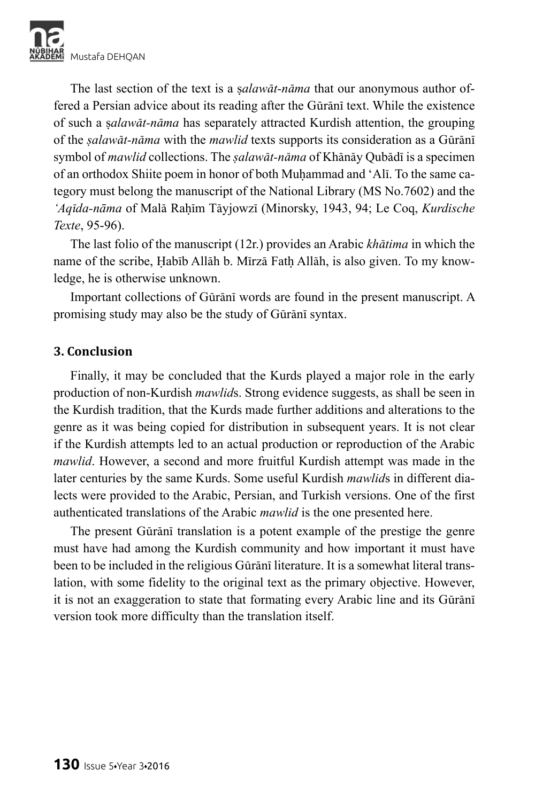

The last section of the text is a *salawa<sup>t</sup>-nama* that our anonymous author offered a Persian advice about its reading after the Gūrānī text. While the existence of such a ã*alawāt-nāma* has separately attracted Kurdish attention, the grouping of the *ṣalawāt-nāma* with the *mawlid* texts supports its consideration as a Gūrānī symbol of *mawlid* collections. The *ṣalawāt-nāma* of Khānāy Qubādī is a specimen of an orthodox Shiite poem in honor of both Muḥammad and 'Alī. To the same category must belong the manuscript of the National Library (MS No.7602) and the '*Aqīda-nāma* of Malā Rahīm Tāyjowzī (Minorsky, 1943, 94; Le Coq, *Kurdische Texte*, 95-96).

The last folio of the manuscript (12r.) provides an Arabic *khātima* in which the name of the scribe, Habīb Allāh b. Mīrzā Fath Allāh, is also given. To my knowledge, he is otherwise unknown.

Important collections of Gūrānī words are found in the present manuscript. A promising study may also be the study of Gūrānī syntax.

#### **3. Conclusion**

Finally, it may be concluded that the Kurds played a major role in the early production of non-Kurdish *mawlid*s. Strong evidence suggests, as shall be seen in the Kurdish tradition, that the Kurds made further additions and alterations to the genre as it was being copied for distribution in subsequent years. It is not clear if the Kurdish attempts led to an actual production or reproduction of the Arabic *mawlid*. However, a second and more fruitful Kurdish attempt was made in the later centuries by the same Kurds. Some useful Kurdish *mawlid*s in different dialects were provided to the Arabic, Persian, and Turkish versions. One of the first authenticated translations of the Arabic *mawlid* is the one presented here.

The present Gūrānī translation is a potent example of the prestige the genre must have had among the Kurdish community and how important it must have been to be included in the religious Gūrānī literature. It is a somewhat literal translation, with some fidelity to the original text as the primary objective. However, it is not an exaggeration to state that formating every Arabic line and its Gūrānī version took more difficulty than the translation itself.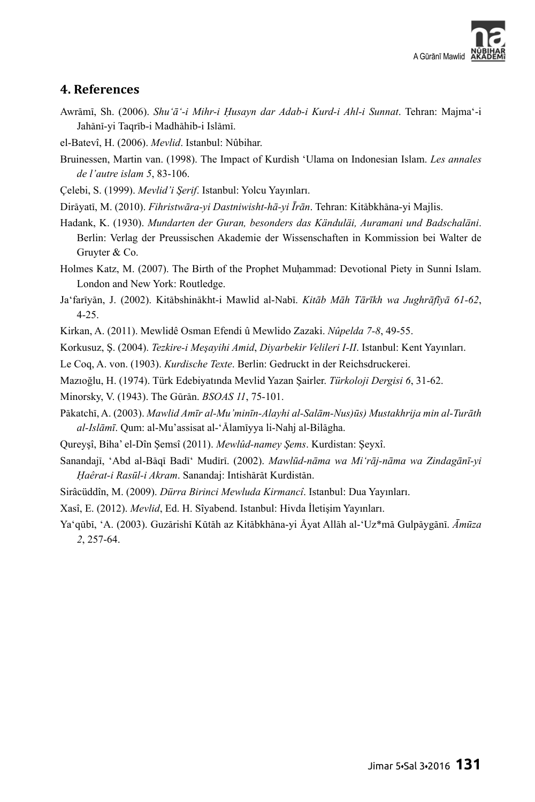

#### **4. References**

- Awrāmī, Sh. (2006). *Shu'ā'-i Mihr-i Ḥusayn dar Adab-i Kurd-i Ahl-i Sunnat*. Tehran: Majma'-i Jahānī-yi Taqrīb-i Madhāhib-i Islāmī.
- el-Batevî, H. (2006). *Mevlid*. Istanbul: Nûbihar.
- Bruinessen, Martin van. (1998). The Impact of Kurdish 'Ulama on Indonesian Islam. *Les annales de l'autre islam 5*, 83-106.
- Çelebi, S. (1999). *Mevlid'i Şerif*. Istanbul: Yolcu Yayınları.

Dirāyatī, M. (2010). *Fihristwāra-yi Dastniwisht-hā-yi Īrān*. Tehran: Kitābkhāna-yi Majlis.

Hadank, K. (1930). *Mundarten der Guran, besonders das Känduläi, Auramani und Badschaläni*. Berlin: Verlag der Preussischen Akademie der Wissenschaften in Kommission bei Walter de Gruyter & Co.

- Holmes Katz, M. (2007). The Birth of the Prophet Muhammad: Devotional Piety in Sunni Islam. London and New York: Routledge.
- Ja'farīyān, J. (2002). Kitābshinākht-i Mawlid al-Nabī. *Kitāb Māh Tārīkh wa Jughrāfīyā 61-62*, 4-25.
- Kirkan, A. (2011). Mewlidê Osman Efendi û Mewlido Zazaki. *Nûpelda 7-8*, 49-55.

Korkusuz, Ş. (2004). *Tezkire-i Meşayihi Amid*, *Diyarbekir Velileri I-II*. Istanbul: Kent Yayınları.

- Le Coq, A. von. (1903). *Kurdische Texte*. Berlin: Gedruckt in der Reichsdruckerei.
- Mazıoğlu, H. (1974). Türk Edebiyatında Mevlid Yazan Şairler. *Türkoloji Dergisi 6*, 31-62.
- Minorsky, V. (1943). The Gūrān. *BSOAS 11*, 75-101.
- Pākatchī, A. (2003). *Mawlid Amīr al-Mu'minīn-Alayhi al-Salām-Nus)ūs) Mustakhrija min al-Turāth al-Islāmī*. Qum: al-Mu'assisat al-'Ālamīyya li-Nahj al-Bilāgha.
- Qureyşî, Biha' el-Dîn Şemsî (2011). *Mewlûd-namey Şems*. Kurdistan: Şeyxî.
- Sanandajī, 'Abd al-Bāqī Badī' Mudīrī. (2002). *Mawlūd-nāma wa Mi'rāj-nāma wa Zindagānī-yi Ḥaêrat-i Rasūl-i Akram*. Sanandaj: Intishārāt Kurdistān.
- Sirâcüddîn, M. (2009). *Dürra Birinci Mewluda Kirmancî*. Istanbul: Dua Yayınları.
- Xasî, E. (2012). *Mevlid*, Ed. H. Sîyabend. Istanbul: Hivda İletişim Yayınları.

Ya'qūbī, 'A. (2003). Guzārishī Kūtāh az Kitābkhāna-yi Āyat Allāh al-'Uz\*mā Gulpāygānī. *Āmūza 2*, 257-64.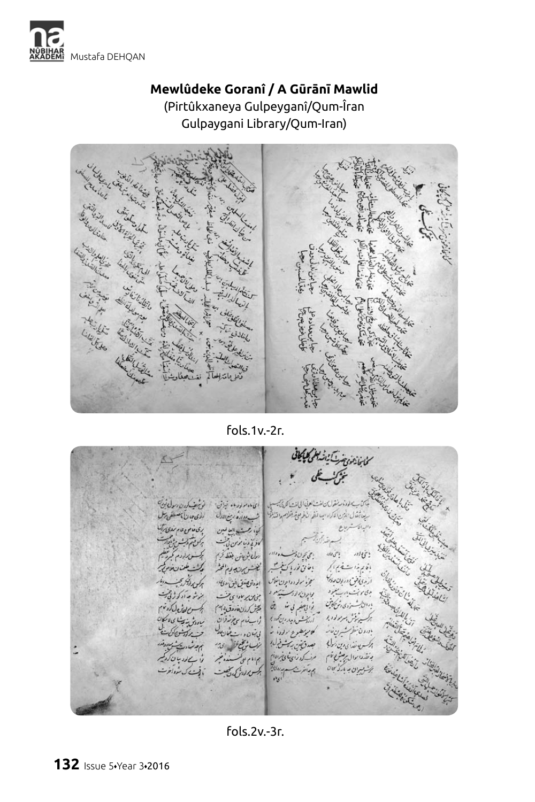

### **Mewlûdeke Goranî / A Gūrānī Mawlid** (Pirtûkxaneya Gulpeyganî/Qum-Îran Gulpaygani Library/Qum-Iran)



fols.1v.-2r.

فانفا يعوده يتساينا يمولوه بار منقول من لفت لعرتي الى لفت الكريجي ليه بل ای ماه مولود او خیان از این سيعاشقال الذين الكراداب المفرا المأعمع ففرام والتذليق التشب معاونة ربيع الدل المحد الملاحات المحصوصات كمأة دهست الناعين irsi رىغا لوز تورند نړین ک<sup>ین</sup>  $\mathcal{L}(\mathcal{E})$  and  $\mathcal{E}(\mathcal{E})$ مرارش بغفائهم  $13123$ بفان نور اكتابتهم الخلش برن وبالمخثر بأفائم بذائع يستضيح الجج م در *بون و دَ* بر دی بر ولرددا ون خلاص البدران محدس فن مدئاك بالإن الأستيلوم بخان برمادا بالت مرخ صاد کی کی ک ر زابتغیر بی منسر این گیتش کردن در زنده به این است می تواند کرده :<br>است شده دوران کنند !<br>است شده دوران کنند ! مردی د شیکایی  $1.111/1$ كالبويطين برادة لما إلى من دورت مفارسات باور و ن<sup>م</sup> های دین اولی - بصدق بورس دیگر داده مؤب شيخ فل الحاجيم  $\frac{1}{2}$ وال برصش مؤم مرنے کرونز پی بائل الانہ منذنبر م المام على دا سے دوجات کردیم بخشوسران بدباركم كان بمبدأ بر سورون کی گیات

fols.2v.-3r.